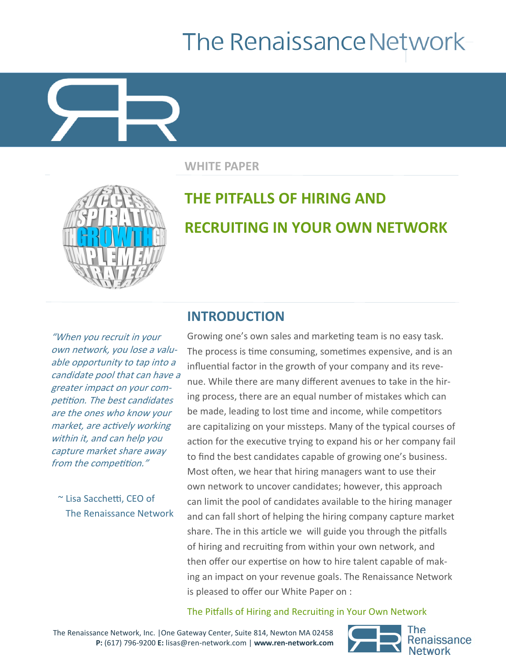# The Renaissance Network-

**WHITE PAPER**



# **THE PITFALLS OF HIRING AND RECRUITING IN YOUR OWN NETWORK**

"When you recruit in your own network, you lose a valuable opportunity to tap into <sup>a</sup> candidate pool that can have a greater impact on your competition. The best candidates are the ones who know your market, are actively working within it, and can help you capture market share away from the competition."

~ Lisa Sacchetti, CEO of The Renaissance Network

### **INTRODUCTION**

Growing one's own sales and marketing team is no easy task. The process is time consuming, sometimes expensive, and is an influential factor in the growth of your company and its revenue. While there are many different avenues to take in the hiring process, there are an equal number of mistakes which can be made, leading to lost time and income, while competitors are capitalizing on your missteps. Many of the typical courses of action for the executive trying to expand his or her company fail to find the best candidates capable of growing one's business. Most often, we hear that hiring managers want to use their own network to uncover candidates; however, this approach can limit the pool of candidates available to the hiring manager and can fall short of helping the hiring company capture market share. The in this article we will guide you through the pitfalls of hiring and recruiting from within your own network, and then offer our expertise on how to hire talent capable of making an impact on your revenue goals. The Renaissance Network is pleased to offer our White Paper on :

#### The Pitfalls of Hiring and Recruiting in Your Own Network

The Renaissance Network, Inc. |One Gateway Center, Suite 814, Newton MA 02458 **P:** (617) 796-9200 **E:** lisas@ren-network.com | **www.ren-network.com**

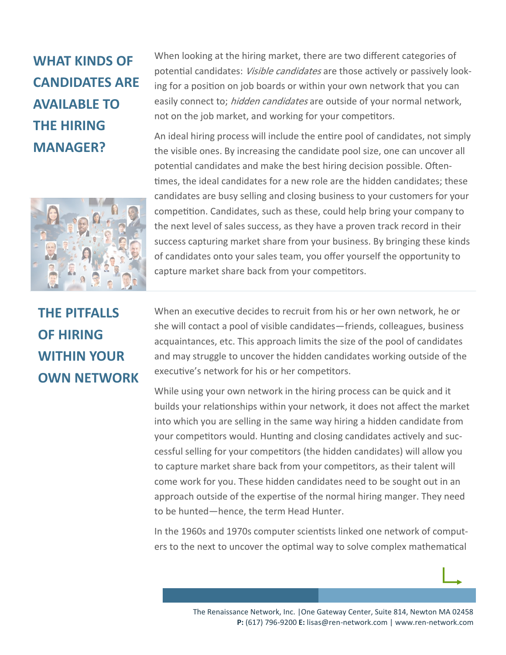## **WHAT KINDS OF CANDIDATES ARE AVAILABLE TO THE HIRING MANAGER?**



**THE PITFALLS OF HIRING WITHIN YOUR OWN NETWORK** When looking at the hiring market, there are two different categories of potential candidates: *Visible candidates* are those actively or passively looking for a position on job boards or within your own network that you can easily connect to; *hidden candidates* are outside of your normal network, not on the job market, and working for your competitors.

An ideal hiring process will include the entire pool of candidates, not simply the visible ones. By increasing the candidate pool size, one can uncover all potential candidates and make the best hiring decision possible. Oftentimes, the ideal candidates for a new role are the hidden candidates; these candidates are busy selling and closing business to your customers for your competition. Candidates, such as these, could help bring your company to the next level of sales success, as they have a proven track record in their success capturing market share from your business. By bringing these kinds of candidates onto your sales team, you offer yourself the opportunity to capture market share back from your competitors.

When an executive decides to recruit from his or her own network, he or she will contact a pool of visible candidates—friends, colleagues, business acquaintances, etc. This approach limits the size of the pool of candidates and may struggle to uncover the hidden candidates working outside of the executive's network for his or her competitors.

While using your own network in the hiring process can be quick and it builds your relationships within your network, it does not affect the market into which you are selling in the same way hiring a hidden candidate from your competitors would. Hunting and closing candidates actively and successful selling for your competitors (the hidden candidates) will allow you to capture market share back from your competitors, as their talent will come work for you. These hidden candidates need to be sought out in an approach outside of the expertise of the normal hiring manger. They need to be hunted—hence, the term Head Hunter.

In the 1960s and 1970s computer scientists linked one network of computers to the next to uncover the optimal way to solve complex mathematical

> The Renaissance Network, Inc. |One Gateway Center, Suite 814, Newton MA 02458 **P:** (617) 796-9200 **E:** lisas@ren-network.com | www.ren-network.com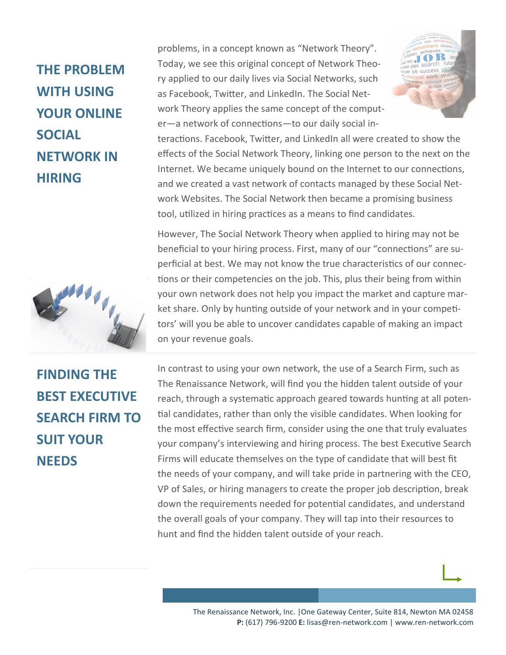## **THE PROBLEM WITH USING YOUR ONLINE SOCIAL NETWORK IN HIRING**



problems, in a concept known as "Network Theory". Today, we see this original concept of Network Theory applied to our daily lives via Social Networks, such as Facebook, Twitter, and LinkedIn. The Social Network Theory applies the same concept of the computer—a network of connections—to our daily social in-



teractions. Facebook, Twitter, and LinkedIn all were created to show the effects of the Social Network Theory, linking one person to the next on the Internet. We became uniquely bound on the Internet to our connections, and we created a vast network of contacts managed by these Social Network Websites. The Social Network then became a promising business tool, utilized in hiring practices as a means to find candidates.

However, The Social Network Theory when applied to hiring may not be beneficial to your hiring process. First, many of our "connections" are superficial at best. We may not know the true characteristics of our connections or their competencies on the job. This, plus their being from within your own network does not help you impact the market and capture market share. Only by hunting outside of your network and in your competitors' will you be able to uncover candidates capable of making an impact on your revenue goals.

**FINDING THE BEST EXECUTIVE SEARCH FIRM TO SUIT YOUR NEEDS**

In contrast to using your own network, the use of a Search Firm, such as The Renaissance Network, will find you the hidden talent outside of your reach, through a systematic approach geared towards hunting at all potential candidates, rather than only the visible candidates. When looking for the most effective search firm, consider using the one that truly evaluates your company's interviewing and hiring process. The best Executive Search Firms will educate themselves on the type of candidate that will best fit the needs of your company, and will take pride in partnering with the CEO, VP of Sales, or hiring managers to create the proper job description, break down the requirements needed for potential candidates, and understand the overall goals of your company. They will tap into their resources to hunt and find the hidden talent outside of your reach.